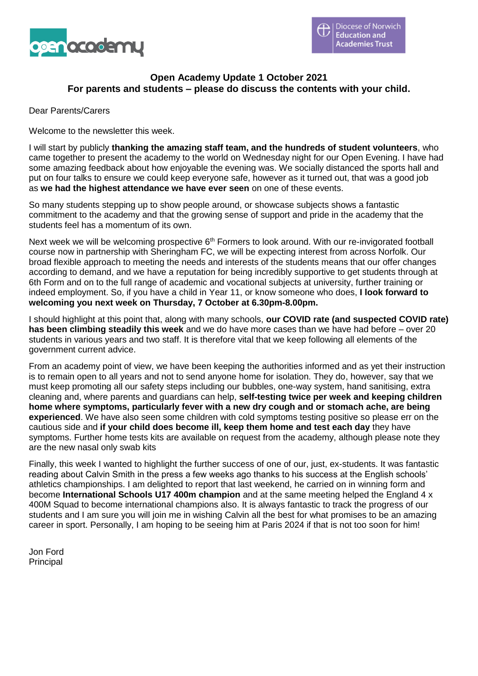

# **Open Academy Update 1 October 2021 For parents and students – please do discuss the contents with your child.**

Dear Parents/Carers

Welcome to the newsletter this week.

I will start by publicly **thanking the amazing staff team, and the hundreds of student volunteers**, who came together to present the academy to the world on Wednesday night for our Open Evening. I have had some amazing feedback about how enjoyable the evening was. We socially distanced the sports hall and put on four talks to ensure we could keep everyone safe, however as it turned out, that was a good job as **we had the highest attendance we have ever seen** on one of these events.

So many students stepping up to show people around, or showcase subjects shows a fantastic commitment to the academy and that the growing sense of support and pride in the academy that the students feel has a momentum of its own.

Next week we will be welcoming prospective 6<sup>th</sup> Formers to look around. With our re-invigorated football course now in partnership with Sheringham FC, we will be expecting interest from across Norfolk. Our broad flexible approach to meeting the needs and interests of the students means that our offer changes according to demand, and we have a reputation for being incredibly supportive to get students through at 6th Form and on to the full range of academic and vocational subjects at university, further training or indeed employment. So, if you have a child in Year 11, or know someone who does, **I look forward to welcoming you next week on Thursday, 7 October at 6.30pm-8.00pm.**

I should highlight at this point that, along with many schools, **our COVID rate (and suspected COVID rate) has been climbing steadily this week** and we do have more cases than we have had before – over 20 students in various years and two staff. It is therefore vital that we keep following all elements of the government current advice.

From an academy point of view, we have been keeping the authorities informed and as yet their instruction is to remain open to all years and not to send anyone home for isolation. They do, however, say that we must keep promoting all our safety steps including our bubbles, one-way system, hand sanitising, extra cleaning and, where parents and guardians can help, **self-testing twice per week and keeping children home where symptoms, particularly fever with a new dry cough and or stomach ache, are being experienced**. We have also seen some children with cold symptoms testing positive so please err on the cautious side and **if your child does become ill, keep them home and test each day** they have symptoms. Further home tests kits are available on request from the academy, although please note they are the new nasal only swab kits

Finally, this week I wanted to highlight the further success of one of our, just, ex-students. It was fantastic reading about Calvin Smith in the press a few weeks ago thanks to his success at the English schools' athletics championships. I am delighted to report that last weekend, he carried on in winning form and become **International Schools U17 400m champion** and at the same meeting helped the England 4 x 400M Squad to become international champions also. It is always fantastic to track the progress of our students and I am sure you will join me in wishing Calvin all the best for what promises to be an amazing career in sport. Personally, I am hoping to be seeing him at Paris 2024 if that is not too soon for him!

Jon Ford Principal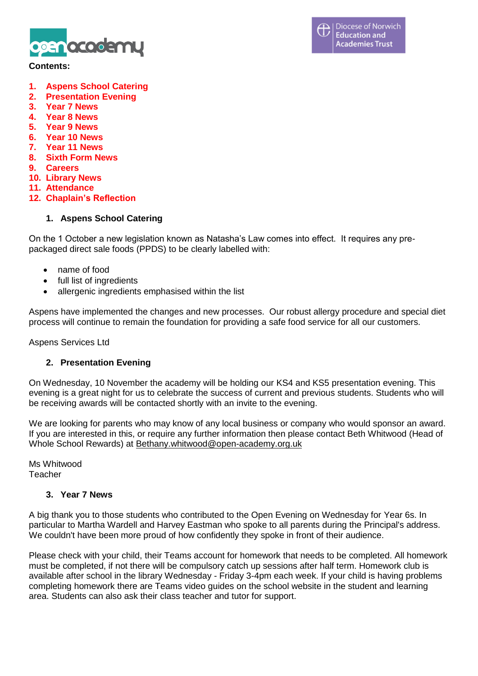

#### **Contents:**

- **1. Aspens School Catering**
- **2. Presentation Evening**
- **3. Year 7 News**
- **4. Year 8 News**
- **5. Year 9 News**
- **6. Year 10 News**
- **7. Year 11 News**
- **8. Sixth Form News**
- **9. Careers**
- **10. Library News**
- **11. Attendance**
- **12. Chaplain's Reflection**

## **1. Aspens School Catering**

On the 1 October a new legislation known as Natasha's Law comes into effect. It requires any prepackaged direct sale foods (PPDS) to be clearly labelled with:

- name of food
- full list of ingredients
- allergenic ingredients emphasised within the list

Aspens have implemented the changes and new processes. Our robust allergy procedure and special diet process will continue to remain the foundation for providing a safe food service for all our customers.

Aspens Services Ltd

## **2. Presentation Evening**

On Wednesday, 10 November the academy will be holding our KS4 and KS5 presentation evening. This evening is a great night for us to celebrate the success of current and previous students. Students who will be receiving awards will be contacted shortly with an invite to the evening.

We are looking for parents who may know of any local business or company who would sponsor an award. If you are interested in this, or require any further information then please contact Beth Whitwood (Head of Whole School Rewards) at [Bethany.whitwood@open-academy.org.uk](mailto:Bethany.whitwood@open-academy.org.uk)

Ms Whitwood Teacher

#### **3. Year 7 News**

A big thank you to those students who contributed to the Open Evening on Wednesday for Year 6s. In particular to Martha Wardell and Harvey Eastman who spoke to all parents during the Principal's address. We couldn't have been more proud of how confidently they spoke in front of their audience.

Please check with your child, their Teams account for homework that needs to be completed. All homework must be completed, if not there will be compulsory catch up sessions after half term. Homework club is available after school in the library Wednesday - Friday 3-4pm each week. If your child is having problems completing homework there are Teams video guides on the school website in the student and learning area. Students can also ask their class teacher and tutor for support.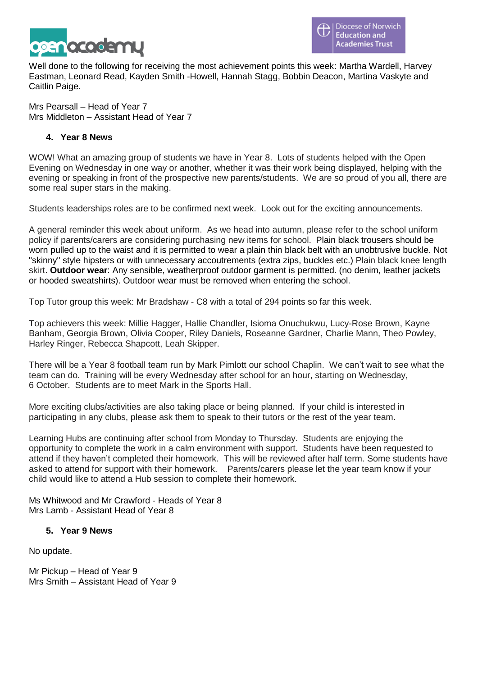

Well done to the following for receiving the most achievement points this week: Martha Wardell, Harvey Eastman, Leonard Read, Kayden Smith -Howell, Hannah Stagg, Bobbin Deacon, Martina Vaskyte and Caitlin Paige.

Mrs Pearsall – Head of Year 7 Mrs Middleton – Assistant Head of Year 7

## **4. Year 8 News**

WOW! What an amazing group of students we have in Year 8. Lots of students helped with the Open Evening on Wednesday in one way or another, whether it was their work being displayed, helping with the evening or speaking in front of the prospective new parents/students. We are so proud of you all, there are some real super stars in the making.

Students leaderships roles are to be confirmed next week. Look out for the exciting announcements.

A general reminder this week about uniform. As we head into autumn, please refer to the school uniform policy if parents/carers are considering purchasing new items for school. Plain black trousers should be worn pulled up to the waist and it is permitted to wear a plain thin black belt with an unobtrusive buckle. Not "skinny" style hipsters or with unnecessary accoutrements (extra zips, buckles etc.) Plain black knee length skirt. **Outdoor wear**: Any sensible, weatherproof outdoor garment is permitted. (no denim, leather jackets or hooded sweatshirts). Outdoor wear must be removed when entering the school.

Top Tutor group this week: Mr Bradshaw - C8 with a total of 294 points so far this week.

Top achievers this week: Millie Hagger, Hallie Chandler, Isioma Onuchukwu, Lucy-Rose Brown, Kayne Banham, Georgia Brown, Olivia Cooper, Riley Daniels, Roseanne Gardner, Charlie Mann, Theo Powley, Harley Ringer, Rebecca Shapcott, Leah Skipper.

There will be a Year 8 football team run by Mark Pimlott our school Chaplin. We can't wait to see what the team can do. Training will be every Wednesday after school for an hour, starting on Wednesday, 6 October. Students are to meet Mark in the Sports Hall.

More exciting clubs/activities are also taking place or being planned. If your child is interested in participating in any clubs, please ask them to speak to their tutors or the rest of the year team.

Learning Hubs are continuing after school from Monday to Thursday. Students are enjoying the opportunity to complete the work in a calm environment with support. Students have been requested to attend if they haven't completed their homework. This will be reviewed after half term. Some students have asked to attend for support with their homework. Parents/carers please let the year team know if your child would like to attend a Hub session to complete their homework.

Ms Whitwood and Mr Crawford - Heads of Year 8 Mrs Lamb - Assistant Head of Year 8

# **5. Year 9 News**

No update.

Mr Pickup – Head of Year 9 Mrs Smith – Assistant Head of Year 9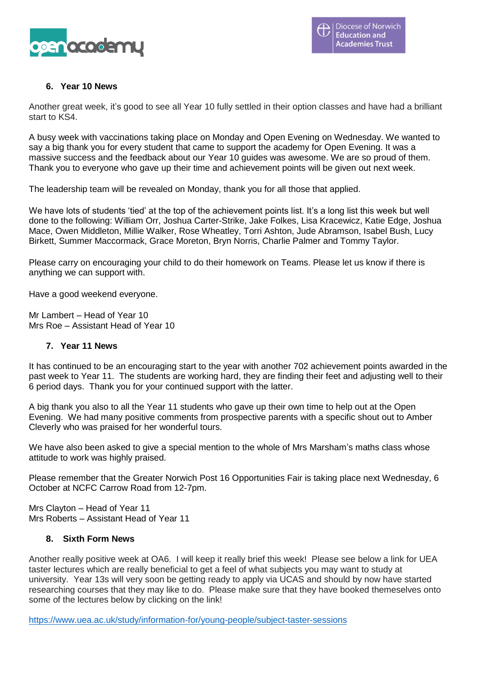

# **6. Year 10 News**

Another great week, it's good to see all Year 10 fully settled in their option classes and have had a brilliant start to KS4.

A busy week with vaccinations taking place on Monday and Open Evening on Wednesday. We wanted to say a big thank you for every student that came to support the academy for Open Evening. It was a massive success and the feedback about our Year 10 guides was awesome. We are so proud of them. Thank you to everyone who gave up their time and achievement points will be given out next week.

The leadership team will be revealed on Monday, thank you for all those that applied.

We have lots of students 'tied' at the top of the achievement points list. It's a long list this week but well done to the following: William Orr, Joshua Carter-Strike, Jake Folkes, Lisa Kracewicz, Katie Edge, Joshua Mace, Owen Middleton, Millie Walker, Rose Wheatley, Torri Ashton, Jude Abramson, Isabel Bush, Lucy Birkett, Summer Maccormack, Grace Moreton, Bryn Norris, Charlie Palmer and Tommy Taylor.

Please carry on encouraging your child to do their homework on Teams. Please let us know if there is anything we can support with.

Have a good weekend everyone.

Mr Lambert – Head of Year 10 Mrs Roe – Assistant Head of Year 10

## **7. Year 11 News**

It has continued to be an encouraging start to the year with another 702 achievement points awarded in the past week to Year 11. The students are working hard, they are finding their feet and adjusting well to their 6 period days. Thank you for your continued support with the latter.

A big thank you also to all the Year 11 students who gave up their own time to help out at the Open Evening. We had many positive comments from prospective parents with a specific shout out to Amber Cleverly who was praised for her wonderful tours.

We have also been asked to give a special mention to the whole of Mrs Marsham's maths class whose attitude to work was highly praised.

Please remember that the Greater Norwich Post 16 Opportunities Fair is taking place next Wednesday, 6 October at NCFC Carrow Road from 12-7pm.

Mrs Clayton – Head of Year 11 Mrs Roberts – Assistant Head of Year 11

#### **8. Sixth Form News**

Another really positive week at OA6. I will keep it really brief this week! Please see below a link for UEA taster lectures which are really beneficial to get a feel of what subjects you may want to study at university. Year 13s will very soon be getting ready to apply via UCAS and should by now have started researching courses that they may like to do. Please make sure that they have booked themeselves onto some of the lectures below by clicking on the link!

<https://www.uea.ac.uk/study/information-for/young-people/subject-taster-sessions>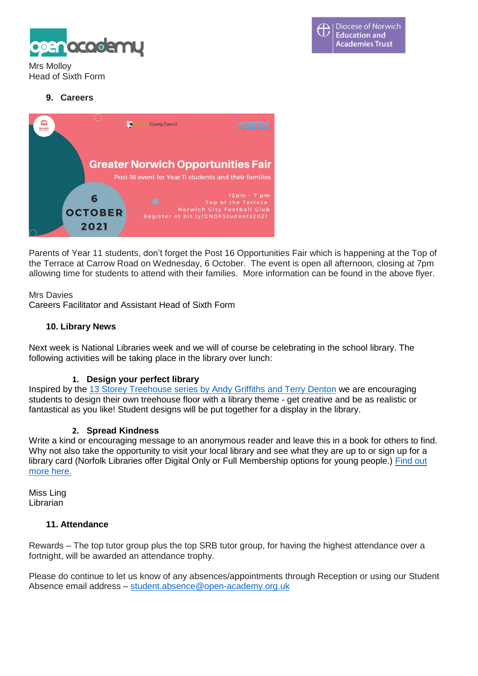

Mrs Molloy Head of Sixth Form

# **9. Careers**



Parents of Year 11 students, don't forget the Post 16 Opportunities Fair which is happening at the Top of the Terrace at Carrow Road on Wednesday, 6 October. The event is open all afternoon, closing at 7pm allowing time for students to attend with their families. More information can be found in the above flyer.

Mrs Davies

Careers Facilitator and Assistant Head of Sixth Form

#### **10. Library News**

Next week is National Libraries week and we will of course be celebrating in the school library. The following activities will be taking place in the library over lunch:

## **1. Design your perfect library**

Inspired by the 13 Storey [Treehouse](https://www.youtube.com/watch?v=SmIU_VzQM2s) series by Andy Griffiths and Terry Denton we are encouraging students to design their own treehouse floor with a library theme - get creative and be as realistic or fantastical as you like! Student designs will be put together for a display in the library.

#### **2. Spread Kindness**

Write a kind or encouraging message to an anonymous reader and leave this in a book for others to find. Why not also take the opportunity to visit your local library and see what they are up to or sign up for a library card (Norfolk Libraries offer Digital Only or Full Membership options for young people.) [Find](https://openacademyorguk-my.sharepoint.com/:b:/g/personal/donna_ling_open-academy_org_uk/EbKxSC8bD0tGnm7L1oeGxG0BEt8TWc8KYA_Vt0pegVMjtQ?e=5sMBr4) out [more](https://openacademyorguk-my.sharepoint.com/:b:/g/personal/donna_ling_open-academy_org_uk/EbKxSC8bD0tGnm7L1oeGxG0BEt8TWc8KYA_Vt0pegVMjtQ?e=5sMBr4) here.

Miss Ling Librarian

## **11. Attendance**

Rewards – The top tutor group plus the top SRB tutor group, for having the highest attendance over a fortnight, will be awarded an attendance trophy.

Please do continue to let us know of any absences/appointments through Reception or using our Student Absence email address – [student.absence@open-academy.org.uk](mailto:student.absence@open-academy.org.uk)